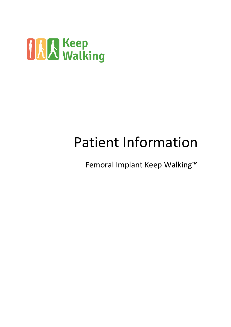

# Patient Information

Femoral Implant Keep Walking™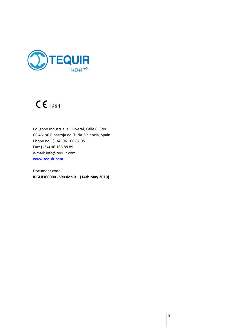

# $C \epsilon_{1984}$

Polígono Industrial el Oliveral, Calle C, S/N CP 46190 Ribarroja del Turia. Valencia, Spain Phone no.: (+34) 96 166 87 95 Fax: (+34) 96 166 88 89 e-mail: info@tequir.com **[www.tequir.com](http://www.tequir.com/)**

Document code: **IPGUI300000 - Version 01 (14th May 2019)**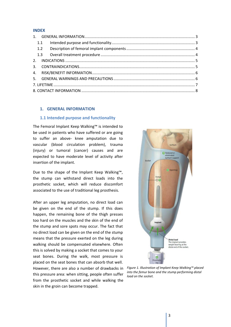#### **INDEX**

#### <span id="page-2-0"></span>**1. GENERAL INFORMATION**

#### <span id="page-2-1"></span>**1.1 Intended purpose and functionality**

The Femoral Implant Keep Walking™ is intended to be used in patients who have suffered or are going to suffer an above- knee amputation due to vascular (blood circulation problem), trauma (injury) or tumoral (cancer) causes and are expected to have moderate level of activity after insertion of the implant.

Due to the shape of the Implant Keep Walking™, the stump can withstand direct loads into the prosthetic socket, which will reduce discomfort associated to the use of traditional leg prosthesis.

After an upper leg amputation, no direct load can be given on the end of the stump. If this does happen, the remaining bone of the thigh presses too hard on the muscles and the skin of the end of the stump and sore spots may occur. The fact that no direct load can be given on the end of the stump means that the pressure exerted on the leg during walking should be compensated elsewhere. Often this is solved by making a socket that comes to your seat bones. During the walk, most pressure is placed on the seat bones that can absorb that well. However, there are also a number of drawbacks in this pressure area: when sitting, people often suffer from the prosthetic socket and while walking the skin in the groin can become trapped.



*Figure 1. Illustration of Implant Keep Walking™ placed into the femur bone and the stump performing distal load on the socket.*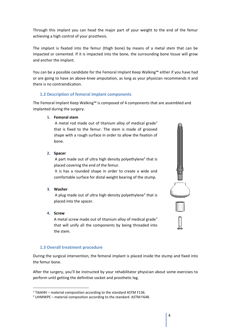Through this implant you can head the major part of your weight to the end of the femur achieving a high control of your prosthesis.

The implant is fixated into the femur (thigh bone) by means of a metal stem that can be impacted or cemented. If it is impacted into the bone, the surrounding bone tissue will grow and anchor the implant.

You can be a possible candidate for the Femoral Implant Keep Walking™ either if you have had or are going to have an above-knee amputation, as long as your physician recommends it and there is no contraindication.

# <span id="page-3-0"></span>**1.2 Description of femoral implant components**

The Femoral Implant Keep Walking™ is composed of 4 components that are assembled and implanted during the surgery:

# **1. Femoral stem**

A metal rod made out of titanium alloy of medical grade<sup>1</sup> that is fixed to the femur. The stem is made of grooved shape with a rough surface in order to allow the fixation of bone.

**2. Spacer**

A part made out of ultra high density polyethylene<sup>2</sup> that is placed covering the end of the femur.

It is has a rounded shape in order to create a wide and comfortable surface for distal weight bearing of the stump.

# **3. Washer**

A plug made out of ultra high density polyethylene<sup>2</sup> that is placed into the spacer.

# **4. Screw**

A metal screw made out of titanium alloy of medical grade<sup>1</sup> that will unify all the components by being threaded into the stem.

# <span id="page-3-1"></span>**1.3 Overall treatment procedure**

During the surgical intervention, the femoral implant is placed inside the stump and fixed into the femur bone.

After the surgery, you'll be instructed by your rehabilitator physician about some exercises to perform until getting the definitive socket and prosthetic leg.



<sup>1</sup> Ti6Al4V – material composition according to the standard ASTM F136.

 $2$  UHMWPE – material composition according to the standard ASTM F648.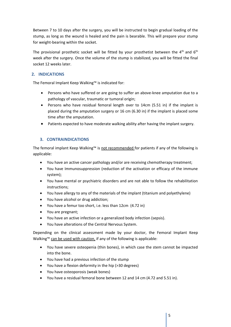Between 7 to 10 days after the surgery, you will be instructed to begin gradual loading of the stump, as long as the wound is healed and the pain is bearable. This will prepare your stump for weight-bearing within the socket.

The provisional prosthetic socket will be fitted by your prosthetist between the  $4<sup>th</sup>$  and  $6<sup>th</sup>$ week after the surgery. Once the volume of the stump is stabilized, you will be fitted the final socket 12 weeks later.

# <span id="page-4-0"></span>**2. INDICATIONS**

The Femoral Implant Keep Walking™ is indicated for:

- Persons who have suffered or are going to suffer an above-knee amputation due to a pathology of vascular, traumatic or tumoral origin;
- Persons who have residual femoral length over to 14cm (5.51 in) if the implant is placed during the amputation surgery or 16 cm (6.30 in) if the implant is placed some time after the amputation.
- Patients expected to have moderate walking ability after having the implant surgery.

# <span id="page-4-1"></span>**3. CONTRAINDICATIONS**

The femoral implant Keep Walking™ is not recommended for patients if any of the following is applicable:

- You have an active cancer pathology and/or are receiving chemotherapy treatment;
- You have Immunosuppression (reduction of the activation or efficacy of the immune system);
- You have mental or psychiatric disorders and are not able to follow the rehabilitation instructions;
- You have allergy to any of the materials of the implant (titanium and polyethylene)
- You have alcohol or drug addiction;
- You have a femur too short, i.e. less than 12cm (4.72 in)
- You are pregnant;
- You have an active infection or a generalized body infection (sepsis).
- You have alterations of the Central Nervous System.

Depending on the clinical assessment made by your doctor, the Femoral Implant Keep Walking<sup>™</sup> can be used with caution, if any of the following is applicable:

- You have severe osteopenia (thin bones), in which case the stem cannot be impacted into the bone.
- You have had a previous infection of the stump
- You have a flexion deformity in the hip (>30 degrees)
- You have osteoporosis (weak bones)
- You have a residual femoral bone between 12 and 14 cm (4.72 and 5.51 in).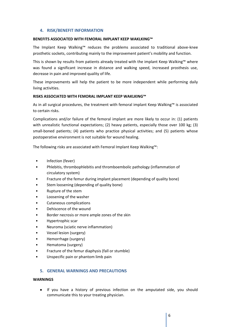#### <span id="page-5-0"></span>**4. RISK/BENEFIT INFORMATION**

#### **BENEFITS ASSOCIATED WITH FEMORAL IMPLANT KEEP WAKLKING™**

The Implant Keep Walking™ reduces the problems associated to traditional above-knee prosthetic sockets, contributing mainly to the improvement patient's mobility and function.

This is shown by results from patients already treated with the implant Keep Walking™ where was found a significant increase in distance and walking speed, increased prosthesis use, decrease in pain and improved quality of life.

These improvements will help the patient to be more independent while performing daily living activities.

#### **RISKS ASSOCIATED WITH FEMORAL IMPLANT KEEP WAKLKING™**

As in all surgical procedures, the treatment with femoral implant Keep Walking™ is associated to certain risks.

Complications and/or failure of the femoral implant are more likely to occur in: (1) patients with unrealistic functional expectations; (2) heavy patients, especially those over 100 kg; (3) small-boned patients; (4) patients who practice physical activities; and (5) patients whose postoperative environment is not suitable for wound healing.

The following risks are associated with Femoral Implant Keep Walking™:

- Infection (fever)
- Phlebitis, thrombophlebitis and thromboembolic pathology (inflammation of circulatory system)
- Fracture of the femur during implant placement (depending of quality bone)
- Stem loosening (depending of quality bone)
- Rupture of the stem
- Loosening of the washer
- Cutaneous complications
- Dehiscence of the wound
- Border necrosis or more ample zones of the skin
- Hypertrophic scar
- Neuroma (sciatic nerve inflammation)
- Vessel lesion (surgery)
- Hemorrhage (surgery)
- Hematoma (surgery)
- Fracture of the femur diaphysis (fall or stumble)
- Unspecific pain or phantom limb pain

#### <span id="page-5-1"></span>**5. GENERAL WARNINGS AND PRECAUTIONS**

#### **WARNINGS**

• If you have a history of previous infection on the amputated side, you should communicate this to your treating physician.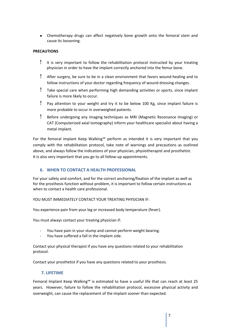• Chemotherapy drugs can affect negatively bone growth onto the femoral stem and cause its loosening.

#### **PRECAUTIONS**

- ! It is very important to follow the rehabilitation protocol instructed by your treating physician in order to have the implant correctly anchored into the femur bone.
- ! After surgery, be sure to be in a clean environment that favors wound-healing and to follow instructions of your doctor regarding frequency of wound dressing changes.
- ! Take special care when performing high demanding activities or sports, since implant failure is more likely to occur.
- ! Pay attention to your weight and try it to be below 100 Kg, since implant failure is more probable to occur in overweighed patients.
- ! Before undergoing any imaging techniques as MRI (Magnetic Resonance Imaging) or CAT (Computerized axial tomography) inform your healthcare specialist about having a metal implant.

For the femoral implant Keep Walking™ perform as intended it is very important that you comply with the rehabilitation protocol, take note of warnings and precautions as outlined above, and always follow the indications of your physician, physiotherapist and prosthetist. It is also very important that you go to all follow-up appointments.

# **6. WHEN TO CONTACT A HEALTH PROFESSIONAL**

For your safety and comfort, and for the correct anchoring/fixation of the implant as well as for the prosthesis function without problem, it is important to follow certain instructions as when to contact a health care professional.

YOU MUST IMMEDIATELY CONTACT YOUR TREATING PHYSICIAN IF:

You experience pain from your leg or increased body temperature (fever).

You must always contact your treating physician if:

- You have pain in your stump and cannot perform weight bearing.
- You have suffered a fall in the implant side.

Contact your physical therapist if you have any questions related to your rehabilitation protocol.

Contact your prosthetist if you have any questions related to your prosthesis.

# **7. LIFETIME**

<span id="page-6-0"></span>Femoral Implant Keep Walking™ is estimated to have a useful life that can reach at least 25 years. However, failure to follow the rehabilitation protocol, excessive physical activity and overweight, can cause the replacement of the implant sooner than expected.